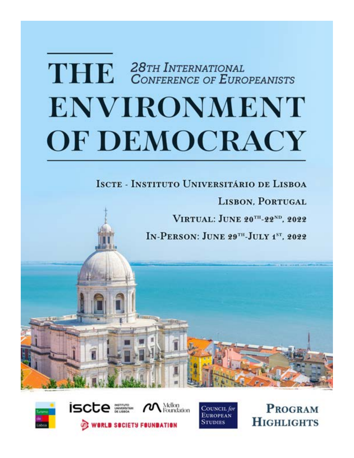# THE 28TH INTERNATIONAL<br>CONFERENCE OF EUROPEANISTS **ENVIRONMENT OF DEMOCRACY**

## ISCTE - INSTITUTO UNIVERSITÁRIO DE LISBOA

**LISBON, PORTUGAL** 

VIRTUAL: JUNE 20TH-22ND, 2022

IN-PERSON: JUNE 29TH-JULY 1ST. 2022



iscte tellon dation **WORLD SOCIETY FOUNDATION** 



**PROGRAM HIGHLIGHTS**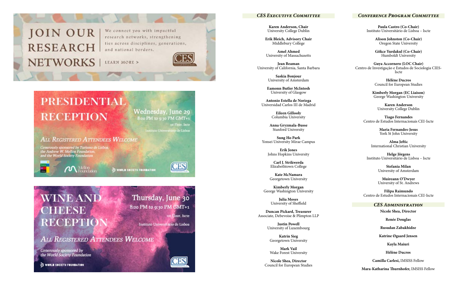## **JOIN OUR RESEARCH NETWORKS**

We connect you with impactful research networks, strengthening ties across disciplines, generations, and national borders.

LEARN MORE >



## **PRESIDENTIAL RECEPTION**

Wednesday, June 29 8:00 PM to 9:30 PM GMT+1

> 1st Floor, Iscte nstituto Universitário de Lisboa

Thursday, June 30

8:00 PM to 9:30 PM GMT+1

Instituto Universitário de Lisboa

**ALL REGISTERED ATTENDEES WELCOME** 

Generously sponsored by Turismo de Lisboa,<br>the Andrew W. Mellon Foundation,<br>and the World Society Foundation

**M** Mellon

WORLD SOCIETY FOUNDATION



151 Floor, Iscte

## **WINE AND HEESE** RECEPTI

**ALL REGISTERED ATTENDEES WELCOME** 

Generously sponsored by the World Society Foundation

WORLD SOCIETY FOUNDATION



**Karen Anderson, Chair**  University College Dublin

**Erik Bleich, Advisory Chair** Middlebury College

**Amel Ahmed** University of Massachusetts

**Jean Beaman** University of California, Santa Barbara

> **Saskia Bonjour** University of Amsterdam

**Eamonn Butler McIntosh** University of Glasgow

**Antonio Estella de Noriega** Universidad Carlos III de Madrid

> **Eileen Gillooly** Columbia University

**Anna Gryzmala-Busse** Stanford University

**Sung Ho Park** Yonsei University Mirae Campus

**Erik Jones** Johns Hopkins University

**Carl J. Strikwerda** Elizabethtown College

**Kate McNamara** Georgetown University

**Kimberly Morgan** George Washington University

> **Julia Moses** University of Sheffield

**Duncan Pickard, Treasurer** Associate, Debevoise & Plimpton LLP

> **Justin Powell** University of Luxembourg

**Katrin Sieg** Georgetown University

**Mark Vail** Wake Forest University

**Nicole Shea, Director** Council for European Studies

**Paula Castro (Co-Chair)** Instituto Universitário de Lisboa – Iscte

> **Alison Johnston (Co-Chair)** Oregon State University

> **Gökce Yurdakul (Co-Chair)** Humboldt University

**Guya Accornero (LOC Chair)** Centro de Investigação e Estudos de Sociologia CIES-Iscte

> **Hélène Ducros** Council for European Studies

**Kimberly Morgan (EC Liaison)** George Washington University

**Karen Anderson** University College Dublin

**Tiago Fernandes** Centro de Estudos Internacionais CEI-Iscte

> **Maria Fernandes-Jesus** York St John University

**Alma Jeftic** International Christian University

**Helge Jörgens** Instituto Universitário de Lisboa – Iscte

> **Stefania Milan** University of Amsterdam

**Muireann O'Dwyer** University of St. Andrews

**Filipa Raimundo** Centro de Estudos Internacionais CEI-Iscte

#### *CES Executive Committee Conference Program Committee*

#### *CES Administration*

**Nicole Shea, Director**

**Renée Douglas**

**Rusudan Zabakhidze**

**Katrine Øgaard Jensen**

**Kayla Maiuri**

**Hélène Ducros**

**Camilla Carlesi,** IMSISS Fellow

**Mara-Katharina Thurnhofer,** IMSISS Fellow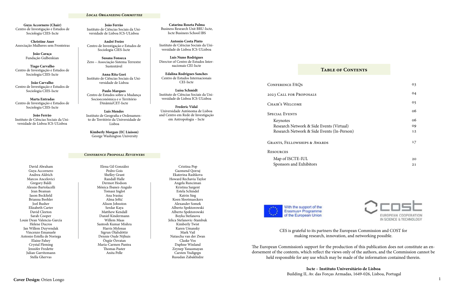#### *Local Organizing Committee*

#### *Conference Proposal Reviewers*

**Guya Accornero (Chair)** Centro de Investigação e Estudos de Sociologia CIES-Iscte

**Christine Auer** Associação Mulheres sem Fronteiras

> **João Caraça** Fundação Gulbenkian

**Tiago Carvalho** Centro de Investigação e Estudos de Sociologia CIES-Iscte

**João Carvalho** Centro de Investigação e Estudos de Sociologia CIES-Iscte

**Marta Entradas** Centro de Investigação e Estudos de Sociologia CIES-Iscte

**João Ferrão** Instituto de Ciências Sociais da Universidade de Lisboa ICS-ULisboa

**João Ferrão** Instituto de Ciências Sociais da Universidade de Lisboa ICS-ULisboa

**André Freire** Centro de Investigação e Estudos de Sociologia CIES-Iscte

**Susana Fonseca** Zero – Associação Sistema Terrestre Sustentável

**Anna Rita Gori** Instituto de Ciências Sociais da Universidade de Lisboa

**Paulo Marques** Centro de Estudos sobre a Mudança Socioeconómica e o Território Dinâmia'CET-Iscte

**Luís Mendes** Instituto de Geografia e Ordenamento do Território da Universidade de Lisboa

**Kimberly Morgan (EC Liaison)** George Washington University

**Catarina Roseta Palma** Business Research Unit BRU-Iscte, Iscte Businees School IBS

**Antonio Costa Pinto** Instituto de Ciências Sociais da Universidade de Lisboa ICS-ULisboa

**Luís Nuno Rodrigues** Director of Centro de Estudos Internacionais CEI-Iscte

**Edalina Rodrigues Sanches**  Centro de Estudos Internacionais CEI-Iscte

> Keynotes Research Network & Side Events (V Research Network & Side Events (In-

**Luísa Schmidt** Instituto de Ciências Sociais da Universidade de Lisboa ICS-ULisboa

**Frederic Vidal** Universidade Autónoma de Lisboa and Centro em Rede de Investigação em Antropologia – Iscte

CONFERENCE FAOS

Elena Gil González Pedro Gois Shelley Grant Randall Halle Dermot Hodson Mónica Ibanez-Angulo Tomasz Inglot Ana Ivasiuc Alma Jeftić Alison Johnston Serdar Kaya Matthew Kendall Daniel Kindermann Willem Maas Santosh Kumar Mishra Harris Mylonas Sigrun Ólafsdóttir Dennie Oude Nijhuis Özgür Özvatan Maria-Carmen Pantea Thomas Paster Anita Pelle

Cristina Pop Gazmend Qorraj Ekaterina Rashkova Howard Rechavia Taylor Angela Runciman Kristina Sargent Estela Schindel Katrin Sieg Koen Slootmaeckers Alexander Somek Alberto Spektorowski Alberto Spektorowski Boyka Stefanova Jelica Stefanovic-Stambuk Kimberly Twist Karen Umansky Mark Vail Natascha van der Zwan Claske Vos Daphne Winland Zeynep Yanasmayan Carsten Yndigegn Rusudan Zabakhidze

David Abraham Guya Accornero Andrea Aldrich Marcos Ancelovici Gregory Baldi Alessio Bartolacelli Jean Beaman Jason Beckfield Brianna Beehler Joel Busher Elizabeth Carter David Cleeton Sarah Cooper Louie Dean Valencia-García Helene Ducros Jan Willem Duyvendak Vincenzo Emanuele Antonio Estella de Noriega Elaine Fahey Crystal Fleming Jennifer Fredette Julian Garritzmann Stella Ghervas

#### **Table of Contents**

2023 Call for Proposals

Chair's Welcome

Special Events

Map of ISCTE-IUL Sponsors and Exhibitors



With the support of the Erasmus+ Programme of the European Union

|           | 03 |
|-----------|----|
|           | 04 |
|           | 05 |
|           | 06 |
|           | 06 |
| irtual)   | 09 |
| n-Person) | 12 |
|           | 17 |
|           |    |
|           | 20 |

21



CES is grateful to its partners the European Commission and COST for making research, innovation, and networking possible.

The European Commission's support for the production of this publication does not constitute an endorsement of the contents, which reflect the views only of the authors, and the Commission cannot be held responsible for any use which may be made of the information contained therein.

Grants, Fellowships & Awards

#### **RESOURCES**

**Iscte – Instituto Universitário de Lisboa** Building II, Av. das Forças Armadas, 1649-026, Lisboa, Portugal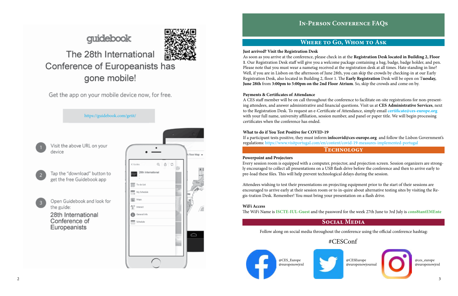### **Where to Go, Whom to Ask**

#### **Just arrived? Visit the Registration Desk**

As soon as you arrive at the conference, please check in at the **Registration Desk located in Building 2, Floor 1**. Our Registration Desk staff will give you a welcome package containing a bag, badge, badge holder, and pen. Please note that you must wear a nametag received at the registration desk at all times. Hate standing in line? Well, if you are in Lisbon on the afternoon of June 28th, you can skip the crowds by checking-in at our Early Registration Desk, also located in Building 2, floor 1. The **Early Registration** Desk will be open on T**uesday, June 28th** from **3:00pm to 5:00pm on the 2nd Floor Atrium**. So, skip the crowds and come on by.

#### **Payments & Certificates of Attendance**

**Technology** If a participant tests positive, they must inform **infocovid@ces-europe.org** and follow the Lisbon Government's regulations: https://www.visitportugal.com/en/content/covid-19-measures-implemented-portugal

A CES staff member will be on call throughout the conference to facilitate on-site registrations for non-presenting attendees, and answer administrative and financial questions. Visit us at **CES Administrative Services**, next to the Registration Desk. To request an e-Certificate of Attendance, simply email **certificate@ces-europe.org**  with your full name, university affiliation, session number, and panel or paper title. We will begin processing certificates when the conference has ended.

#### **What to do if You Test Positive for COVID-19**

#### **Powerpoint and Projectors**

Every session room is equipped with a computer, projector, and projection screen. Session organizers are strongly encouraged to collect all presentations on a USB flash drive before the conference and then to arrive early to pre-load these files. This will help prevent technological delays during the session.

Attendees wishing to test their presentations on projecting equipment prior to the start of their sessions are encouraged to arrive early at their session room or to in-quire about alternative testing sites by visiting the Regis-tration Desk. Remember! You must bring your presentation on a flash drive.

#### **WiFi Access**

The WiFi Name is **ISCTE-IUL-Guest** and the password for the week 27th June to 3rd July is **cons8tantEMEnte**

https://guidebook.com/getit/

- Visit the above URL on your device
- Tap the "download" button to get the free Guidebook app
- Open Guidebook and look for the guide:

28th International Conference of Europeanists



#### **Social Media**

Follow along on social media throughout the conference using the official conference hashtag:



## guidebook



## The 28th International Conference of Europeanists has gone mobile!

Get the app on your mobile device now, for free.

### #CESConf



@CESEurope @europenowjournal



@ces\_europe @europenowjrnl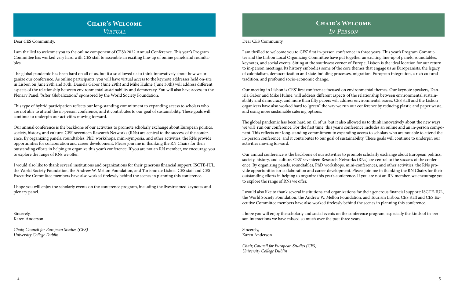#### Dear CES Community,

I am thrilled to welcome you to CES' first in-person conference in three years. This year's Program Committee and the Lisbon Local Organizing Committee have put together an exciting line-up of panels, roundtables, keynotes, and social events. Sitting at the southwest corner of Europe, Lisbon is the ideal location for our return to in-person meetings. Its history embodies some of the core themes that engage us as Europeanists: the legacy of colonialism, democratization and state-building processes, migration, European integration, a rich cultural tradition, and profound socio-economic change.

Our meeting in Lisbon is CES' first conference focused on environmental themes. Our keynote speakers, Daniela Gabor and Mike Hulme, will address different aspects of the relationship between environmental sustainability and democracy, and more than fifty papers will address environmental issues. CES staff and the Lisbon organizers have also worked hard to "green" the way we run our conference by reducing plastic and paper waste, and using more sustainable catering options.

The global pandemic has been hard on all of us, but it also allowed us to think innovatively about the new ways we will run our conference. For the first time, this year's conference includes an online and an in-person component. This reflects our long-standing commitment to expanding access to scholars who are not able to attend the in-person conference, and it contributes to our goal of sustainability. These goals will continue to underpin our activities moving forward.

Our annual conference is the backbone of our activities to promote scholarly exchange about European politics, society, history, and culture. CES' seventeen Research Networks (RNs) are central to the success of the conference. By organizing panels, roundtables, PhD workshops, mini-conferences, and other activities, the RNs provide opportunities for collaboration and career development. Please join me in thanking the RN Chairs for their outstanding efforts in helping to organize this year's conference. If you are not an RN member, we encourage you to explore the range of RNs we offer.

I would also like to thank several institutions and organizations for their generous financial support: ISCTE-IUL, the World Society Foundation, the Andrew W. Mellon Foundation, and Tourism Lisboa. CES staff and CES Executive Committee members have also worked tirelessly behind the scenes in planning this conference.

I hope you will enjoy the scholarly and social events on the conference program, especially the kinds of in-person interactions we have missed so much over the past three years.

Sincerely, Karen Anderson

*Chair, Council for European Studies (CES) University College Dublin*

### **Chair's Welcome**  *Virtual*

Dear CES Community,

I am thrilled to welcome you to the online component of CES's 2022 Annual Conference. This year's Program Committee has worked very hard with CES staff to assemble an exciting line-up of online panels and roundtables.

The global pandemic has been hard on all of us, but it also allowed us to think innovatively about how we organize our conference. As online participants, you will have virtual access to the keynote addresses held on-site in Lisbon on June 29th and 30th. Daniela Gabor (June 29th) and Mike Hulme (June 30th) will address different aspects of the relationship between environmental sustainability and democracy. You will also have access to the Plenary Panel, "After Globalization," sponsored by the World Society Foundation.

This type of hybrid participation reflects our long-standing commitment to expanding access to scholars who are not able to attend the in-person conference, and it contributes to our goal of sustainability. These goals will continue to underpin our activities moving forward.

Our annual conference is the backbone of our activities to promote scholarly exchange about European politics, society, history, and culture. CES' seventeen Research Networks (RNs) are central to the success of the conference. By organizing panels, roundtables, PhD workshops, mini-symposia, and other activities, the RNs provide opportunities for collaboration and career development. Please join me in thanking the RN Chairs for their outstanding efforts in helping to organize this year's conference. If you are not an RN member, we encourage you to explore the range of RNs we offer.

I would also like to thank several institutions and organizations for their generous financial support: ISCTE-IUL, the World Society Foundation, the Andrew W. Mellon Foundation, and Turismo de Lisboa. CES staff and CES Executive Committee members have also worked tirelessly behind the scenes in planning this conference.

I hope you will enjoy the scholarly events on the conference program, including the livestreamed keynotes and plenary panel.

Sincerely, Karen Anderson

*Chair, Council for European Studies (CES) University College Dublin*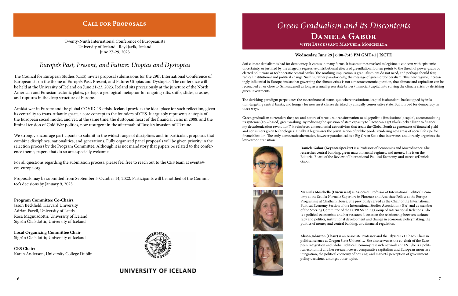#### **Wednesday, June 29 | 6:00-7:45 PM GMT+1 | ISCTE**

Soft climate denialism is bad for democracy. It comes in many forms. It is sometimes masked as legitimate concern with epistemic uncertainty, or justified by the allegedly regressive distributional effects of greenflation. It often points to the threat of power-grabs by elected politicians or technocratic central banks. The soothing implication is gradualism: we do not need, and perhaps should fear, radical institutional and political change. Such is, rather paradoxically, the message of green ordoliberalism. This new regime, increasingly influential in Europe, insists that governing the climate crisis is not a macroeconomic question, that climate and capitalism can be reconciled at, or close to, Schwarzenull as long as a small green state bribes (financial) capital into solving the climate crisis by derisking green investments.

The derisking paradigm perpetuates the macrofinancial status-quo where institutional capital is abundant, backstopped by inflation-targeting central banks, and hungry for new asset classes derisked by a fiscally conservative state. But it is bad for democracy in three ways.

Green gradualism surrenders the pace and nature of structural transformation to oligopolistic (institutional) capital, accommodating its systemic (ESG-based) greenwashing. By reducing the question of state capacity to "How can I get BlackRock/Allianz to finance my decarbonization revolution?" it reinforces a neocolonial extractivism that treats the Global South as generators of financial yield and consumers green technologies. Finally, it legitimizes the privatization of public goods, rendering new areas of social life ripe for financialization. The truly democratic alternative, however paradoxical, is a Big Green State that intervenes and directly organizes the low-carbon transition.



**Daniela Gabor (Keynote Speaker)** is a Professor of Economics and Macrofinance. She researches central banking, green macrofinancial regimes, and money. She is on the Editorial Board of the Review of International Political Economy, and tweets @Daniela

Gabor



## *Green Gradualism and its Discontents* **Daniela Gabor with Discussant Manuela Moschella**

For all questions regarding the submission process, please feel free to reach out to the CES team at events@ ces-europe.org.

> **Manuela Moschella (Discussant)** is Associate Professor of International Political Economy at the Scuola Normale Superiore in Florence and Associate Fellow at the Europe Programme at Chatham House. She previously served as the Chair of the International Political Economy Section of the International Studies Association (ISA) and as member of the Steering Committee of the ECPR Standing Group of International Relations. She is a political economists and her research focuses on the relationship between technocracy and politics, institutional development and change in economic policymaking, the politics of money and central banking, and financial regulation.

**Alison Johnston (Chair)** is an Associate Professor and the Ulysses G Dubach Chair in political science at Oregon State University. She also serves as the co-chair of the European Integration and Global Political Economy research network at CES. She is a political economist and her research covers comparative capitalism and European monetary integration, the political economy of housing, and markets' perception of government



### **Call for Proposals**

Twenty-Ninth International Conference of Europeanists University of Iceland | Reykjavik, Iceland June 27-29, 2023

### *Europe's Past, Present, and Future: Utopias and Dystopias*

The Council for European Studies (CES) invites proposal submissions for the 29th International Conference of Europeanists on the theme of Europe's Past, Present, and Future: Utopias and Dystopias. The conference will be held at the University of Iceland on June 21-23, 2023. Iceland sits precariously at the juncture of the North American and Eurasian tectonic plates, perhaps a geological metaphor for ongoing rifts, shifts, slides, crashes, and ruptures in the deep structure of Europe.

Amidst war in Europe and the global COVID-19 crisis, Iceland provides the ideal place for such reflection, given its centrality to trans-Atlantic space, a core concept to the founders of CES. It arguably represents a utopia of the European social model, and yet, at the same time, the dystopian heart of the financial crisis in 2008, and the liminal tension of Cold War politics, now resurgent in the aftermath of Russia's invasion of Ukraine.

We strongly encourage participants to submit in the widest range of disciplines and, in particular, proposals that combine disciplines, nationalities, and generations. Fully organized panel proposals will be given priority in the selection process by the Program Committee. Although it is not mandatory that papers be related to the conference theme, papers that do so are especially welcome.

Proposals may be submitted from September 5-October 14, 2022. Participants will be notified of the Committee's decisions by January 9, 2023.

**Program Committee Co-Chairs:**  Jason Beckfield, Harvard University Adrian Favell, University of Leeds Rósa Magnusdottir, University of Iceland Sigrún Ólafsdóttir, University of Iceland

**Local Organizing Committee Chair** Sigrún Ólafsdóttir, University of Iceland

**CES Chair:** Karen Anderson, University College Dublin



### UNIVERSITY OF ICELAND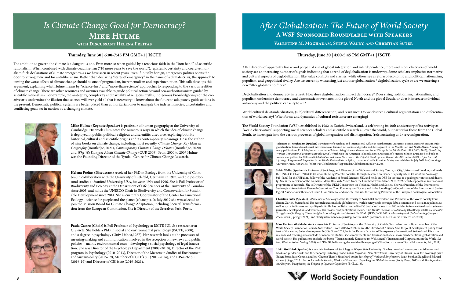After decades of apparently linear and perpetual rise of global integration and interdependence, more and more observers of world society see an increasing number of signals indicating that a trend of deglobalization is underway. Some scholars emphasize normative and cultural aspects of deglobalization, like value conflicts and clashes, while others see a return of economic and political nationalism, populism, and geopolitical rivalry. Are we currently witnessing just another globalization / deglobalization cycle or are we entering a new "after globalization" era?

Deglobalization and democracy in retreat: How does deglobalization impact democracy? Does rising isolationism, nationalism, and populism undermine democracy and democratic movements in the global North and the global South, or does it increase individual autonomy and the political capacity to act?

World cultural de-standardization, (sub)cultural differentiation, and resistance: Do we observe a cultural segmentation and differentiation of world society? What forms and dynamics of cultural resistance are emerging?

The World Society Foundation (WSF), established in 1982 in Zurich, Switzerland, is celebrating its 40th anniversary of its activity as "world observatory" supporting social sciences scholars and scientific research all over the world, but particular those from the Global South, to investigate into the various processes of global integration and disintegration, (re)structuring and (re)configuration.



## *After Globalization: The Future of World Society*  **A WSF-Sponsored Roundtable with Speakers Valentine M. Moghadam, Sylvia Walby,** *and* **Christian Suter**

#### **Thursday, June 30 | 4:00-5:45 PM GMT+1 | ISCTE**

**Valentine M. Moghadam (Speaker)** is Professor of Sociology and International Affairs at Northeastern University, Boston. Research areas include globalization, transnational social movements and feminist networks, and gender and development in the Middle East and North Africa. Among her many publications, Prof. Moghadam is author of Modernizing *Women: Gender and Social Change in the Middle East* (1993, 2003, 2013); *Globalizing Women: Transnational Feminist Networks* (2005), which won the American Political Science Association's Victoria Schuck award for best book on women and politics for 2005; and *Globalization and Social Movements: The Populist Challenge and Democratic Alternatives* (2020). *After the Arab Uprisings: Progress and Stagnation in the Middle East and North Africa,* co-authored with Shamiran Mako, was published in July 2021 by Cambridge





**Sylvia Walby (Speaker)** is Professor of Sociology, and Director of the Violence and Society Centre, at City, University of London, and holds the UNESCO Chair UNESCO Chair on Building Peaceful Societies through Research on Gender Equality. She is Chair of the Sociology Sub-Panel for the REF2021, Fellow of the Academy of Social Sciences, UK, and holds an OBE for services to equal opportunities and diversity. She is the recipient of the Anneliese Maier Research Award from the Humboldt Foundation, 2018-2023, which supports an international programme of research. She is Director of the UKRI Consortium on Violence, Health and Society. She was President of the International Sociological Association's Research Committee 02 on Economy and Society and is the founding Co-Coordinator, of the International Sociological Association's Thematic Group 11 on Violence and Society. She was the founding President of the European Sociological Association.







**Christian Suter (Speaker)** is Professor of Sociology at the University of Neuchâtel, Switzerland and President of the World Society Foundation, Zurich, Switzerland. His research areas include globalization, world society and sovereign debt, economic and social inequalities, as well as social indicators and quality-of-life. He has published and edited 30 books and more than 100 articles in international social sciences journals, encyclopedias, and volumes. His most recent publications include T*he Middle Class in World Society* (Routledge 2020), *Democratic Struggles in Challenging Times: Insights from Mongolia and Around the World* (IRIM/WSF 2021), *Measuring and Understanding Complex* 

## World Society Foundation

**Heidi Gottfried (Speaker)** is Associate Professor of Sociology at Wayne State University. She has co-edited numerous special issues and books on gender, work, and the economy, including *Global Labor Migration: New Directions* (University of Illinois Press, forthcoming) (with Eileen Boris, Julie Greene, and Joo-Cheong Tham); *Handbook on the Sociology of Work and Employment* (with Stephen Edgell and Edward Graner) (Sage, 2015. Her books include *Gender, Work and Economy: Unpacking the Global Economy* (Polity Press, 2013) and *The Reproductive Bargain: Deciphering the Enigma of Japanese Capitalism* (Brill, 2015).



*Phenomena* (Springer 2021), and "Early retirement as a privilege for the rich?" (Advances in Life Course Research 47, 2021). **Marc Herkenrath (Moderator)** is Associate Professor of Sociology at the University of Zurich, Switzerland and a Board member of the World Society Foundation, Zurich, Switzerland. From 2015 to 2021, he was the Director of Alliance Sud, the joint development policy think tank of the leading Swiss development NGOs. Since 2021, he is the Deputy Director of Transparency International Switzerland. His main research and teaching areas include development studies, social movements and transnational social movement coalitions, globalization and world society. His publications include the books "Transnationale Konzerne im Weltsystem" (Transnational Corporations in the World-System; Westdeutscher Verlag, 2003) and "Die Globalisierung der sozialen Bewegungen" (The Globalization of Social Movements; ibid, 2011).

## *Is Climate Change Good for Democracy?* **MIKE HULME with Discussant Helena Freitas**

#### **Thursday, June 30 | 6:00-7:45 PM GMT+1 | ISCTE**

The ambition to govern the climate is a dangerous one. Even more so when guided by a tenacious faith in the "iron hand" of scientific rationalism. When combined with climate deadline-ism ("10 more years to save the world"), epistemic certainty and coercive moralism fuels declarations of climate emergency–as we have seen in recent years. Even if initially benign, emergency politics opens the door to 'strong men' and for anti-liberalism. Rather than declaring "states of emergency" in the name of a climate crisis, the approach to taming the worst effects of climate change should be one of pragmatism, incrementalism and experimentation. This talk develops this argument, explaining what Hulme means by "science-first" and "more-than-science" approaches to responding to the various realities of climate change. There are other resources and avenues available to guide political action beyond eco-authoritarianism guided by scientific rationalism. For example, the ambiguity, complexity and partiality of religious myths, Indigenous knowledge-ways or the creative arts undermine the illusion that science will ever yield all that is necessary to know about the future to adequately guide actions in the present. Democratic political systems are better placed than authoritarian ones to navigate the indeterminacies, uncertainties and conflicting goals set in motion by a changing climate.



**Mike Hulme (Keynote Speaker)** is professor of human geography at the University of Cambridge. His work illuminates the numerous ways in which the idea of climate change is deployed in public, political, religious and scientific discourse, exploring both its historical, cultural and scientific origins and its contemporary meanings. He is the author of nine books on climate change, including, most recently, *Climate Change: Key Ideas in Geography* (Routledge, 2021), *Contemporary Climate Change Debates* (Routledge, 2020) and *Why We Disagree About Climate Change* (CUP, 2009). From 2000 to 2007 Hulme was the Founding Director of the Tyndall Centre for Climate Change Research.



**Helena Freitas (Discussant)** received her PhD in Ecology from the University of Coimbra, in collaboration with the University of Bielefeld, Germany, in 1993, and did postdoctoral studies at Stanford University, USA, between 1994 and 1996. She is Full Professor of Biodiversity and Ecology at the Department of Life Sciences of the University of Coimbra since 2003, and holds the UNESCO Chair in Biodiversity and Conservation for Sustainable Development since 2014. She is currently Coordinator of the Center for Functional Ecology - science for people and the planet (cfe.uc.pt). In July 2019 she was selected to join the Mission Board for Climate Change Adaptation, including Societal Transformation from the European Commission. She is Director of the Serralves Park, Porto.



**Paula Castro (Chair)** is Full Professor of Psychology at ISCTE-IUL & a researcher at CIS-iscte. She holds a PhD in social and environmental psychology (ISCTE, 2000), and a degree in psychology (Univ-Lisboa,1987). Her research looks at the processes of meaning-making and communication involved in the reception of new laws and public policies – mainly environmental ones – developing a social psychology of legal innovation. She was Director of the Psychology Department (2008–2010), Director of the PhD program in Psychology (2010–2013), Director of the Masters in Studies of Environment and Sustainability (2015-19), Member of ISCTE's SC (2010-2014), and CIS-iscte SC (2016-19) and Director of CIS-iscte (2019-2021).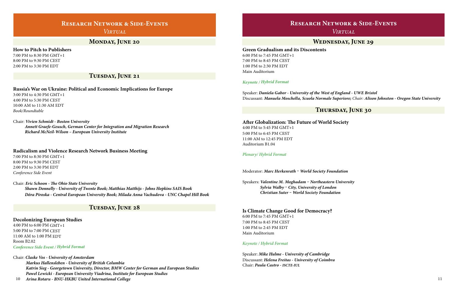### **Research Network & Side-Events** *Virtual*

**After Globalization: The Future of World Society** 4:00 PM to 5:45 PM GMT+1 5:00 PM to 6:45 PM CEST 11:00 AM to 12:45 PM EDT Auditorium B1.04

#### *Plenary/ Hybrid Format*

Moderator: *Marc Herkenrath – World Society Foundation*

Speakers: *Valentine M. Moghadam – Northeastern University Sylvia Walby – City, University of London Christian Suter – World Society Foundation*

#### **Is Climate Change Good for Democracy?**

6:00 PM to 7:45 PM GMT+1 7:00 PM to 8:45 PM CEST 1:00 PM to 2:45 PM EDT Main Auditorium

#### *Keynote / Hybrid Format*

Speaker: *Mike Hulme - University of Cambridge* Discussant: *Helena Freitas - University of Coimbra*  Chair: *Paula Castro - ISCTE-IUL*

#### **Wednesday, June 29**

#### **Green Gradualism and its Discontents**

6:00 PM to 7:45 PM GMT+1 7:00 PM to 8:45 PM CEST 1:00 PM to 2:30 PM EDT Main Auditorium

#### *Keynote / Hybrid Format*

Speaker: *Daniela Gabor - University of the West of England - UWE Bristol* Discussant: *Manuela Moschella, Scuola Normale Superiore; Chair: Alison Johnston - Oregon State University*

### **Research Network & Side-Events**

*Virtual*

#### **MONDAY, JUNE 20**

#### **Tuesday, June 21**

#### **How to Pitch to Publishers**

7:00 PM to 8:30 PM GMT+1 8:00 PM to 9:30 PM CEST 2:00 PM to 3:30 PM EDT

### **Russia's War on Ukraine: Political and Economic Implications for Europe**

3:00 PM to 4:30 PM GMT+1 4:00 PM to 5:30 PM CEST 10:00 AM to 11:30 AM EDT *Book/Roundtable*

#### Chair: *Vivien Schmidt - Boston University Annett Graefe-Geusch, German Center for Integration and Migration Research Richard McNeil-Wilson – European University Institute*

#### **Radicalism and Violence Research Network Business Meeting**

7:00 PM to 8:30 PM GMT+1 8:00 PM to 9:30 PM CEST 2:00 PM to 3:30 PM EDT *Conference Side Event* 

Chair: *Eric Schoon - The Ohio State University Shawn Donnelly - University of Twente Book; Matthias Matthijs - Johns Hopkins SAIS Book Dóra Piroska - Central European University Book; Milada Anna Vachudova - UNC Chapel Hill Book*

#### **Decolonizing European Studies**

4:00 PM to 6:00 PM GMT+1 5:00 PM to 7:00 PM CEST 11:00 AM to 1:00 PM EDT Room B2.02 *Conference Side Event / Hybrid Format*

Chair: *Claske Vos - University of Amsterdam*

 *Markus Hallensleben - University of British Columbia Katrin Sieg - Georgetown University, Director, BMW Center for German and European Studies Pawel Lewicki - European University Viadrina, Institute for European Studies* 

 *Arina Rotaru - BNU-HKBU United International College* 10

#### **Tuesday, June 28**

#### **Thursday, June 30**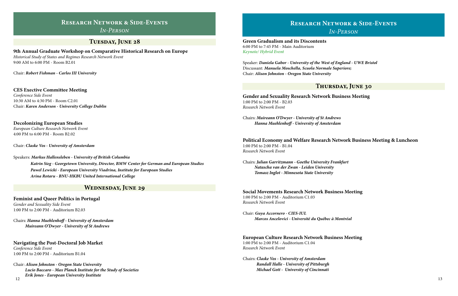#### **Thursday, June 30**

**Green Gradualism and its Discontents**  6:00 PM to 7:45 PM - Main Auditorium *Keynote/ Hybrid Event*

Speaker: *Daniela Gabor - University of the West of England - UWE Bristol* Discussant: *Manuela Moschella, Scuola Normale Superiore;*  Chair: *Alison Johnston - Oregon State University*

**Gender and Sexuality Research Network Business Meeting** 1:00 PM to 2:00 PM - B2.03 *Research Network Event*

Chairs: *Muireann O'Dwyer - University of St Andrews Hanna Muehlenhoff - University of Amsterdam*

**Political Economy and Welfare Research Network Business Meeting & Luncheon** 1:00 PM to 2:00 PM - B1.04 *Research Network Event*

Chairs: *Julian Garritzmann - Goethe University Frankfurt Natascha van der Zwan - Leiden University Tomasz Inglot - Minnesota State University*

**Social Movements Research Network Business Meeting** 1:00 PM to 2:00 PM - Auditorium C1.03

*Research Network Event*

Chair: *Guya Accornero - CIES-IUL Marcos Ancelovici - Université du Québec à Montréal*

#### **European Culture Research Network Business Meeting**

1:00 PM to 2:00 PM - Auditorium C1.04 *Research Network Event*

Chairs: *Claske Vos - University of Amsterdam Randall Halle - University of Pittsburgh Michael Gott - University of Cincinnati*

### **Research Network & Side-Events**

*In-Person*

#### TUESDAY, JUNE 28

**9th Annual Graduate Workshop on Comparative Historical Research on Europe** 

*Historical Study of States and Regimes Research Network Event* 9:00 AM to 6:00 PM - Room B2.01

Chair: *Robert Fishman - Carlos III University*

**CES Exective Committee Meeting** *Conference Side Event* 10:30 AM to 4:30 PM - Room C2.01 Chair: *Karen Anderson - University College Dublin*

#### **Decolonizing European Studies**

*European Culture Research Network Event* 4:00 PM to 6:00 PM - Room B2.02

Chair: *Claske Vos - University of Amsterdam* 

Speakers: *Markus Hallensleben - University of British Columbia Katrin Sieg - Georgetown University, Director, BMW Center for German and European Studies Pawel Lewicki - European University Viadrina, Institute for European Studies Arina Rotaru - BNU-HKBU United International College*

**Feminist and Queer Politics in Portugal** 

*Gender and Sexuality Side Event* 1:00 PM to 2:00 PM - Auditorium B2.03

Chairs: *Hanna Muehlenhoff - University of Amsterdam Muireann O'Dwyer - University of St Andrews*

#### **Navigating the Post-Doctoral Job Market**

*Conference Side Event* 1:00 PM to 2:00 PM - Auditorium B1.04

Chair: *Alison Johnston - Oregon State University Lucio Baccaro - Max Planck Institute for the Study of Societies Erik Jones - European University Institute*

#### **Wednesday, June 29**

12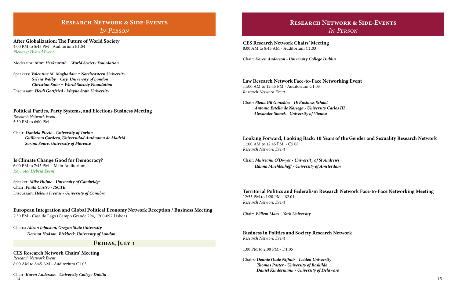### **Research Network & Side-Events**

*In-Person*

**After Globalization: The Future of World Society** 4:00 PM to 5:45 PM - Auditorium B1.04 *Plenary/ Hybrid Event*

Moderator: *Marc Herkenrath – World Society Foundation*

Speakers: *Valentine M. Moghadam – Northeastern University Sylvia Walby – City, University of London Christian Suter – World Society Foundation* Discussant: *Heidi Gottfried - Wayne State University*

**Political Parties, Party Systems, and Elections Business Meeting** *Research Network Event* 5:30 PM to 6:00 PM

Chair: *Daniela Piccio - University of Torino Guillermo Cordero, Universidad Autónoma de Madrid Sorina Soare, University of Florence*

**Is Climate Change Good for Democracy?** 6:00 PM to 7:45 PM - Main Auditorium *Keynote/ Hybrid Event*

Speaker: *Mike Hulme - University of Cambridge* Chair: *Paula Castro - ISCTE*  Discussant: *Helena Freitas - University of Coimbra*

**European Integration and Global Political Economy Network Reception / Business Meeting** 7:30 PM - Casa do Lago (Campo Grande 294, 1700-097 Lisboa)

Chairs: *Alison Johnston, Oregon State University Dermot Hodson, Birkbeck, University of London*

#### FRIDAY, JULY 1

**CES Research Network Chairs' Meeting** *Research Network Event* 8:00 AM to 8:45 AM - Auditorium C1.03

Chair: *Karen Anderson - University College Dublin* 14

**CES Research Network Chairs' Meeting** 8:00 AM to 8:45 AM - Auditorium C1.03

Chair: *Karen Anderson - University College Dublin*

**Law Research Network Face-to-Face Networking Event** 11:00 AM to 12:45 PM - Auditorium C1.03 *Research Network Event*

Chair: *Elena Gil González - IE Business School Antonio Estella de Noriega - University Carlos III Alexander Somek - University of Vienna*

#### **Looking Forward, Looking Back: 10 Years of the Gender and Sexuality Research Network**

11:00 AM to 12:45 PM - C5.08 *Research Network Event*

Chair: *Muireann O'Dwyer - University of St Andrews Hanna Muehlenhoff - University of Amsterdam*

#### **Territorial Politics and Federalism Research Network Face-to-Face Networking Meeting**

12:55 PM to 1:20 PM - B2.01 *Research Network Event*

Chair: *Willem Maas - York University*

**Business in Politics and Society Research Network** *Research Network Event*

1:00 PM to 2:00 PM - D1.05

Chairs: *Dennie Oude Nijhuis - Leiden University Thomas Paster - University of Roskilde Daniel Kindermann - University of Delaware*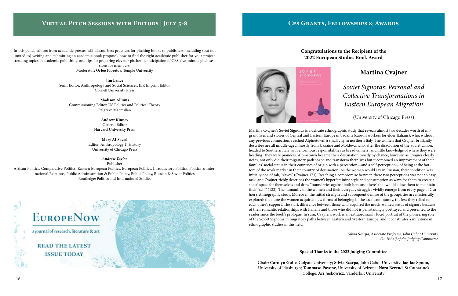#### **Congratulations to the Recipient of the 2022 European Studies Book Award**

#### **Special Thanks to the 2022 Judging Committee**

Chair: **Carolyn Guile**, Colgate University; **Silvia Scarpa**, John Cabot University; **Jae-Jae Spoon**, University of Pittsburgh; **Tommaso Pavone**, University of Arizona; **Nora Berend**, St Catharine's College; **Ari Joskowicz**, Vanderbilt University

### **Martina Cvajner**

*Soviet Signoras: Personal and Collective Transformations in Eastern European Migration*

(University of Chicago Press)

Martina Cvajner's Soviet Signoras is a delicate ethnographic study that reveals almost two decades worth of migrant lives and stories of Central and Eastern European badanti (care-in workers for elder Italians), who, without any previous connection, reached Alpinetown, a small city in northern Italy. The women that Cvajner brilliantly describes are all middle-aged, mostly from Ukraine and Moldova, who, after the dissolution of the Soviet Union, headed to Southern Italy with enormous responsibilities as breadwinners, and little knowledge of where they were heading. They were pioneers. Alpinetown became their destination mostly by chance; however, as Cvajner clearly notes, not only did their migratory path shape and transform their lives but it combined an improvement of their families' social status in their countries of origin with a perception—and a self-perception—of being at the bottom of the work market in their country of destination. As the women would say in Russian, their condition was initially one of rab, "slaves" (Cvajner 173). Reaching a compromise between these two perceptions was not an easy task, and Cvajner richly describes the women's hyperfeminine style and consumption as ways for them to create a social space for themselves and draw "boundaries against both here and there" that would allow them to maintain their "self" (182). The humanity of the women and their everyday struggles vividly emerge from every page of Cvajner's ethnographic study. Moreover, the initial strength and subsequent demise of the group's ties are masterfully explored: the more the women acquired new forms of belonging in the local community, the less they relied on each other's support. The stark difference between those who acquired the much-wanted status of signore because of their romantic relationships with Italians and those who did not is painstakingly portrayed and presented to the reader since the book's prologue. In sum, Cvajner's work is an extraordinarily lucid portrait of the pioneering role of the Soviet Signoras in migratory paths between Eastern and Western Europe, and it constitutes a milestone in ethnographic studies in this field.

> *Silvia Scarpa, Associate Professor, John Cabot University On Behalf of the Judging Committee*

In this panel, editors from academic presses will discuss best practices for pitching books to publishers, including (but not limited to) writing and submitting an academic book proposal, how to find the right academic publisher for your project, trending topics in academic publishing, and tips for preparing elevator pitches in anticipation of CES' five-minute pitch ses-

sions for members: Moderator: **Orfeo Fioretos**, Temple University

**Jim Lance** Senir Editor, Anthropology and Social Sciences, ILR Imprint Editor Cornell University Press

**Madison Allums** Commissioning Editor, US Politics and Political Theory Palgrave Macmillan

> **Andrew Kinney** General Editor Harvard University Press

**Mary Al-Sayed** Editor, Anthropology & History University of Chicago Press

> *Andrew Taylor* Publisher

African Politics, Comparative Politics, Eastern European Politics, European Politics, Introductory Politics, Politics & International Relations, Public Administration & Public Policy, Public Policy, Russian & Soviet Politics Routledge: Politics and International Studies





### **Virtual Pitch Sessions with Editors | July 5-8**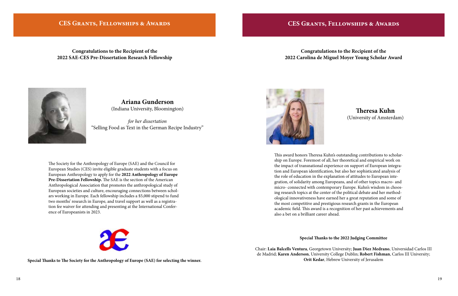#### **CES Grants, Fellowships & Awards**

**Congratulations to the Recipient of the 2022 SAE-CES Pre-Dissertation Research Fellowship**

**Special Thanks to The Society for the Anthropology of Europe (SAE) for selecting the winner.**



**Ariana Gunderson**  (Indiana University, Bloomington)

*for her dissertation* "Selling Food as Text in the German Recipe Industry"

The Society for the Anthropology of Europe (SAE) and the Council for European Studies (CES) invite eligible graduate students with a focus on European Anthropology to apply for the **2022 Anthropology of Europe Pre-Dissertation Fellowship.** The SAE is the section of the American Anthropological Association that promotes the anthropological study of European societies and culture, encouraging connections between scholars working in Europe. Each fellowship includes a \$5,000 stipend to fund two months' research in Europe, and travel support as well as a registration fee waiver for attending and presenting at the International Conference of Europeanists in 2023.



#### **Congratulations to the Recipient of the 2022 Carolina de Miguel Moyer Young Scholar Award**



## **Theresa Kuhn**

(University of Amsterdam)

This award honors Theresa Kuhn's outstanding contributions to scholarship on Europe. Foremost of all, her theoretical and empirical work on the impact of transnational experience on support of European integration and European identification, but also her sophisticated analysis of the role of education in the explanation of attitudes to European integration, of solidarity among Europeans, and of other topics macro- and micro- connected with contemporary Europe. Kuhn's wisdom in choosing research topics at the center of the political debate and her methodological innovativeness have earned her a great reputation and some of the most competitive and prestigious research grants in the European academic field. This award is a recognition of her past achievements and also a bet on a brilliant career ahead.

#### **Special Thanks to the 2022 Judging Committee**

Chair: **Laia Balcells Ventura**, Georgetown University; **Juan Diez Medrano**, Universidad Carlos III de Madrid; **Karen Anderson**, University College Dublin; **Robert Fishman**, Carlos III University; **Orit Kedar**, Hebrew University of Jerusalem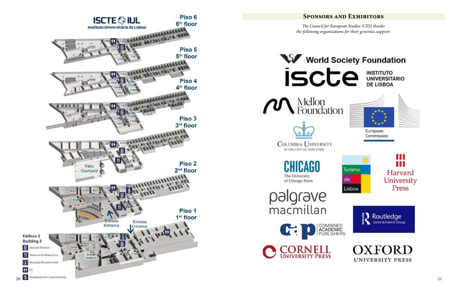### **Sponsors and Exhibitors**

*The Council for European Studies (CES) thanks the following organizations for their generous support:*





**CHICAGO** The University of Chicago Press

palgrave<br>macmillan



**INSTITUTO<br>UNIVERSITÁRIO<br>DE LISBOA** 









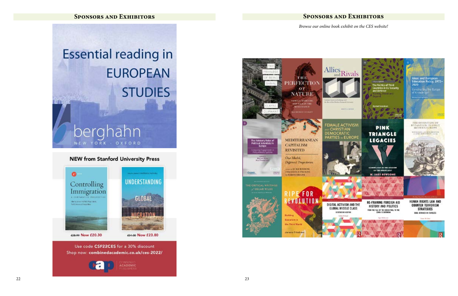**Sponsors and Exhibitors**

### **Sponsors and Exhibitors**

# **Essential reading in EUROPEAN STUDIES** perahahn

#### **NEW from Stanford University Press**

YORK

OXFORD



Shop now: combinedacademic.co.uk/ces-2022/



TH<sub>1</sub> **PERFECTION** OF **NATURE** ANDELLE RECEDENCE<br>ANDER LOCAL THE<br>ENEXATIONNEE **ALCOHOLS STALES MEDITERRANEAN** The Advisory Roles o **Political Scientists In CAPITALISM REVISITED** One Model, **Maryson II**<br>Arca Timates Different Trajectories **LONGHO** Orpot **THE CRITICAL WRITINGS** E FOR EVOLUTION Socialism in the Third World Jerman Friedman

#### *Browse our online book exhibit on the CES website!*